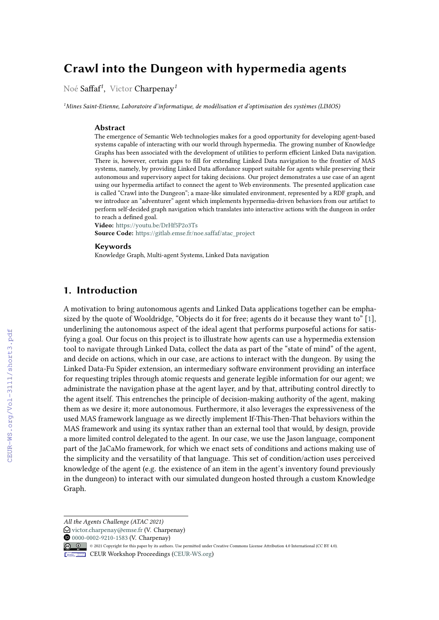# **Crawl into the Dungeon with hypermedia agents**

Noé Saffaf*<sup>1</sup>* , Victor Charpenay*<sup>1</sup>*

*<sup>1</sup>Mines Saint-Etienne, Laboratoire d'informatique, de modélisation et d'optimisation des systèmes (LIMOS)*

#### **Abstract**

The emergence of Semantic Web technologies makes for a good opportunity for developing agent-based systems capable of interacting with our world through hypermedia. The growing number of Knowledge Graphs has been associated with the development of utilities to perform efficient Linked Data navigation. There is, however, certain gaps to fill for extending Linked Data navigation to the frontier of MAS systems, namely, by providing Linked Data affordance support suitable for agents while preserving their autonomous and supervisory aspect for taking decisions. Our project demonstrates a use case of an agent using our hypermedia artifact to connect the agent to Web environments. The presented application case is called "Crawl into the Dungeon"; a maze-like simulated environment, represented by a RDF graph, and we introduce an "adventurer" agent which implements hypermedia-driven behaviors from our artifact to perform self-decided graph navigation which translates into interactive actions with the dungeon in order to reach a defined goal.

**Video:** <https://youtu.be/DrHf5P2o3Ts> **Source Code:** [https://gitlab.emse.fr/noe.saffaf/atac\\_project](https://gitlab.emse.fr/noe.saffaf/atac_project)

#### **Keywords**

Knowledge Graph, Multi-agent Systems, Linked Data navigation

### **1. Introduction**

A motivation to bring autonomous agents and Linked Data applications together can be emphasized by the quote of Wooldridge, "Objects do it for free; agents do it because they want to" [\[1\]](#page--1-0), underlining the autonomous aspect of the ideal agent that performs purposeful actions for satisfying a goal. Our focus on this project is to illustrate how agents can use a hypermedia extension tool to navigate through Linked Data, collect the data as part of the "state of mind" of the agent, and decide on actions, which in our case, are actions to interact with the dungeon. By using the Linked Data-Fu Spider extension, an intermediary software environment providing an interface for requesting triples through atomic requests and generate legible information for our agent; we administrate the navigation phase at the agent layer, and by that, attributing control directly to the agent itself. This entrenches the principle of decision-making authority of the agent, making them as we desire it; more autonomous. Furthermore, it also leverages the expressiveness of the used MAS framework language as we directly implement If-This-Then-That behaviors within the MAS framework and using its syntax rather than an external tool that would, by design, provide a more limited control delegated to the agent. In our case, we use the Jason language, component part of the JaCaMo framework, for which we enact sets of conditions and actions making use of the simplicity and the versatility of that language. This set of condition/action uses perceived knowledge of the agent (e.g. the existence of an item in the agent's inventory found previously in the dungeon) to interact with our simulated dungeon hosted through a custom Knowledge Graph.

*All the Agents Challenge (ATAC 2021)*

 $\bigcirc$  [victor.charpenay@emse.fr](mailto:victor.charpenay@emse.fr) (V. Charpenay)

**O** [0000-0002-9210-1583](https://orcid.org/0000-0002-9210-1583) (V. Charpenay)

<sup>© 2021</sup> Copyright for this paper by its authors. Use permitted under Creative Commons License Attribution 4.0 International (CC BY 4.0).

CEUR Workshop [Proceedings](http://ceur-ws.org) [\(CEUR-WS.org\)](http://ceur-ws.org)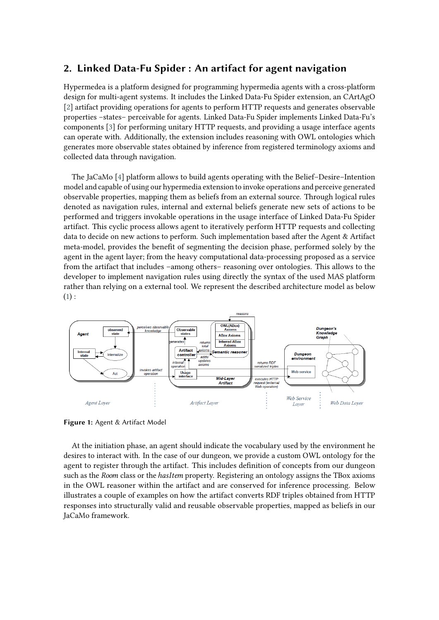### **2. Linked Data-Fu Spider : An artifact for agent navigation**

Hypermedea is a platform designed for programming hypermedia agents with a cross-platform design for multi-agent systems. It includes the Linked Data-Fu Spider extension, an CArtAgO [\[2\]](#page-5-0) artifact providing operations for agents to perform HTTP requests and generates observable properties –states– perceivable for agents. Linked Data-Fu Spider implements Linked Data-Fu's components [\[3\]](#page-5-1) for performing unitary HTTP requests, and providing a usage interface agents can operate with. Additionally, the extension includes reasoning with OWL ontologies which generates more observable states obtained by inference from registered terminology axioms and collected data through navigation.

The JaCaMo [\[4\]](#page-5-2) platform allows to build agents operating with the Belief–Desire–Intention model and capable of using our hypermedia extension to invoke operations and perceive generated observable properties, mapping them as beliefs from an external source. Through logical rules denoted as navigation rules, internal and external beliefs generate new sets of actions to be performed and triggers invokable operations in the usage interface of Linked Data-Fu Spider artifact. This cyclic process allows agent to iteratively perform HTTP requests and collecting data to decide on new actions to perform. Such implementation based after the Agent & Artifact meta-model, provides the benefit of segmenting the decision phase, performed solely by the agent in the agent layer; from the heavy computational data-processing proposed as a service from the artifact that includes –among others– reasoning over ontologies. This allows to the developer to implement navigation rules using directly the syntax of the used MAS platform rather than relying on a external tool. We represent the described architecture model as below  $(1):$  $(1):$ 

<span id="page-1-0"></span>

**Figure 1:** Agent & Artifact Model

At the initiation phase, an agent should indicate the vocabulary used by the environment he desires to interact with. In the case of our dungeon, we provide a custom OWL ontology for the agent to register through the artifact. This includes definition of concepts from our dungeon such as the Room class or the *hasItem* property. Registering an ontology assigns the TBox axioms in the OWL reasoner within the artifact and are conserved for inference processing. Below illustrates a couple of examples on how the artifact converts RDF triples obtained from HTTP responses into structurally valid and reusable observable properties, mapped as beliefs in our JaCaMo framework.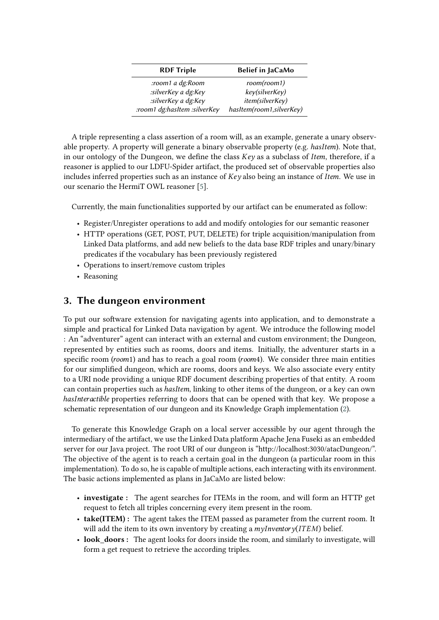| <b>RDF Triple</b>            | <b>Belief in JaCaMo</b>  |
|------------------------------|--------------------------|
| room1 a dg:Room:             | room(room1)              |
| :silverKey a dg:Key          | key(silverKey)           |
| :silverKey a dg:Key          | item(silverKey)          |
| :room1 dg:hasItem :silverKey | hasItem(room1,silverKey) |

A triple representing a class assertion of a room will, as an example, generate a unary observable property. A property will generate a binary observable property (e.g. *hasItem*). Note that, in our ontology of the Dungeon, we define the class  $Key$  as a subclass of *Item*, therefore, if a reasoner is applied to our LDFU-Spider artifact, the produced set of observable properties also includes inferred properties such as an instance of  $Key$  also being an instance of *Item*. We use in our scenario the HermiT OWL reasoner [\[5\]](#page-5-3).

Currently, the main functionalities supported by our artifact can be enumerated as follow:

- Register/Unregister operations to add and modify ontologies for our semantic reasoner
- HTTP operations (GET, POST, PUT, DELETE) for triple acquisition/manipulation from Linked Data platforms, and add new beliefs to the data base RDF triples and unary/binary predicates if the vocabulary has been previously registered
- Operations to insert/remove custom triples
- Reasoning

### **3. The dungeon environment**

To put our software extension for navigating agents into application, and to demonstrate a simple and practical for Linked Data navigation by agent. We introduce the following model : An "adventurer" agent can interact with an external and custom environment; the Dungeon, represented by entities such as rooms, doors and items. Initially, the adventurer starts in a specific room ( $room1$ ) and has to reach a goal room ( $room4$ ). We consider three main entities for our simplified dungeon, which are rooms, doors and keys. We also associate every entity to a URI node providing a unique RDF document describing properties of that entity. A room can contain properties such as *has Item*, linking to other items of the dungeon, or a key can own has Interactible properties referring to doors that can be opened with that key. We propose a schematic representation of our dungeon and its Knowledge Graph implementation [\(2\)](#page-3-0).

To generate this Knowledge Graph on a local server accessible by our agent through the intermediary of the artifact, we use the Linked Data platform Apache Jena Fuseki as an embedded server for our Java project. The root URI of our dungeon is "http://localhost:3030/atacDungeon/". The objective of the agent is to reach a certain goal in the dungeon (a particular room in this implementation). To do so, he is capable of multiple actions, each interacting with its environment. The basic actions implemented as plans in JaCaMo are listed below:

- **investigate :** The agent searches for ITEMs in the room, and will form an HTTP get request to fetch all triples concerning every item present in the room.
- **take(ITEM) :** The agent takes the ITEM passed as parameter from the current room. It will add the item to its own inventory by creating a  $myInventory (ITEM)$  belief.
- **look doors :** The agent looks for doors inside the room, and similarly to investigate, will form a get request to retrieve the according triples.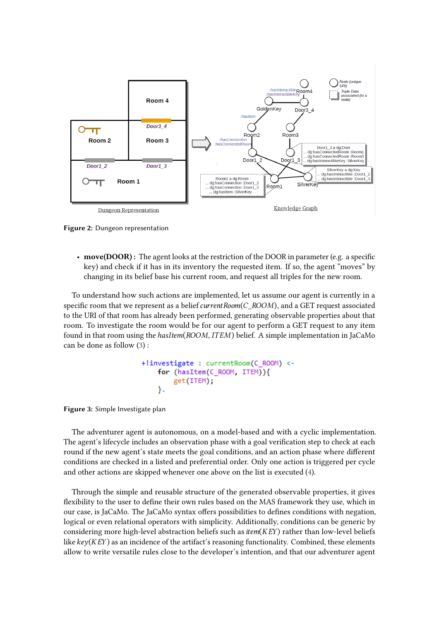<span id="page-3-0"></span>

**Figure 2:** Dungeon representation

• **move(DOOR) :** The agent looks at the restriction of the DOOR in parameter (e.g. a specific key) and check if it has in its inventory the requested item. If so, the agent "moves" by changing in its belief base his current room, and request all triples for the new room.

To understand how such actions are implemented, let us assume our agent is currently in a specific room that we represent as a belief  $currentRoom(C, ROOM)$ , and a GET request associated to the URI of that room has already been performed, generating observable properties about that room. To investigate the room would be for our agent to perform a GET request to any item found in that room using the *hasItem*( $ROOM, ITEM$ ) belief. A simple implementation in JaCaMo can be done as follow [\(3\)](#page-3-1) :

```
+!investigate : currentRoom(C ROOM) <-
for (hasItem(C ROOM, ITEM)){
   get(ITEM);
}.
```
<span id="page-3-1"></span>**Figure 3:** Simple Investigate plan

The adventurer agent is autonomous, on a model-based and with a cyclic implementation. The agent's lifecycle includes an observation phase with a goal verification step to check at each round if the new agent's state meets the goal conditions, and an action phase where different conditions are checked in a listed and preferential order. Only one action is triggered per cycle and other actions are skipped whenever one above on the list is executed [\(4\)](#page-4-0).

Through the simple and reusable structure of the generated observable properties, it gives flexibility to the user to define their own rules based on the MAS framework they use, which in our case, is JaCaMo. The JaCaMo syntax offers possibilities to defines conditions with negation, logical or even relational operators with simplicity. Additionally, conditions can be generic by considering more high-level abstraction beliefs such as  $item(KEY)$  rather than low-level beliefs like  $key(KEY)$  as an incidence of the artifact's reasoning functionality. Combined, these elements allow to write versatile rules close to the developer's intention, and that our adventurer agent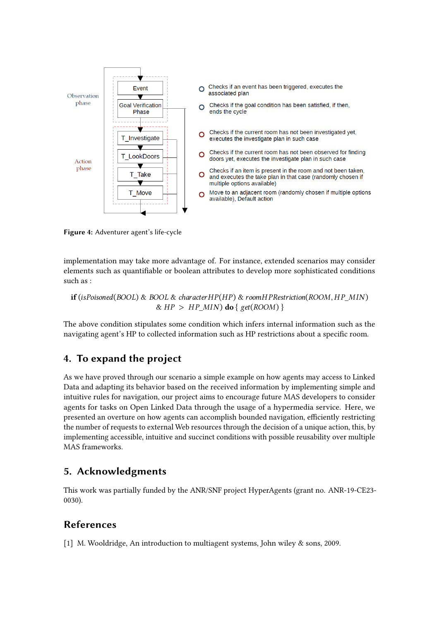<span id="page-4-0"></span>

**Figure 4:** Adventurer agent's life-cycle

implementation may take more advantage of. For instance, extended scenarios may consider elements such as quantifiable or boolean attributes to develop more sophisticated conditions such as :

 $\mathbf{if}$  (isPoisoned(BOOL) & BOOL & characterHP(HP) & roomHPRestriction(ROOM, HP MIN)  $\&$  HP > HP MIN) **do** {  $get($  ROOM) }

The above condition stipulates some condition which infers internal information such as the navigating agent's HP to collected information such as HP restrictions about a specific room.

## **4. To expand the project**

As we have proved through our scenario a simple example on how agents may access to Linked Data and adapting its behavior based on the received information by implementing simple and intuitive rules for navigation, our project aims to encourage future MAS developers to consider agents for tasks on Open Linked Data through the usage of a hypermedia service. Here, we presented an overture on how agents can accomplish bounded navigation, efficiently restricting the number of requests to external Web resources through the decision of a unique action, this, by implementing accessible, intuitive and succinct conditions with possible reusability over multiple MAS frameworks.

## **5. Acknowledgments**

This work was partially funded by the ANR/SNF project HyperAgents (grant no. ANR-19-CE23- 0030).

## **References**

[1] M. Wooldridge, An introduction to multiagent systems, John wiley & sons, 2009.